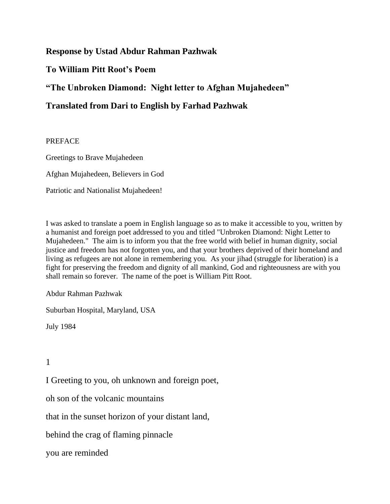## **Response by Ustad Abdur Rahman Pazhwak**

## **To William Pitt Root's Poem**

**"The Unbroken Diamond: Night letter to Afghan Mujahedeen"**

# **Translated from Dari to English by Farhad Pazhwak**

### **PREFACE**

Greetings to Brave Mujahedeen

Afghan Mujahedeen, Believers in God

Patriotic and Nationalist Mujahedeen!

I was asked to translate a poem in English language so as to make it accessible to you, written by a humanist and foreign poet addressed to you and titled "Unbroken Diamond: Night Letter to Mujahedeen." The aim is to inform you that the free world with belief in human dignity, social justice and freedom has not forgotten you, and that your brothers deprived of their homeland and living as refugees are not alone in remembering you. As your jihad (struggle for liberation) is a fight for preserving the freedom and dignity of all mankind, God and righteousness are with you shall remain so forever. The name of the poet is William Pitt Root.

Abdur Rahman Pazhwak

Suburban Hospital, Maryland, USA

July 1984

1

I Greeting to you, oh unknown and foreign poet,

oh son of the volcanic mountains

that in the sunset horizon of your distant land,

behind the crag of flaming pinnacle

you are reminded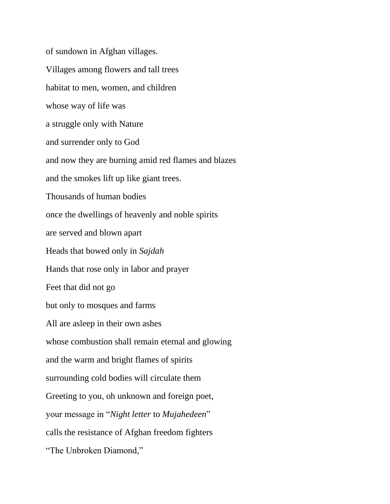of sundown in Afghan villages. Villages among flowers and tall trees habitat to men, women, and children whose way of life was a struggle only with Nature and surrender only to God and now they are burning amid red flames and blazes and the smokes lift up like giant trees. Thousands of human bodies once the dwellings of heavenly and noble spirits are served and blown apart Heads that bowed only in *Sajdah* Hands that rose only in labor and prayer Feet that did not go but only to mosques and farms All are asleep in their own ashes whose combustion shall remain eternal and glowing and the warm and bright flames of spirits surrounding cold bodies will circulate them Greeting to you, oh unknown and foreign poet, your message in "*Night letter* to *Mujahedeen*" calls the resistance of Afghan freedom fighters "The Unbroken Diamond,"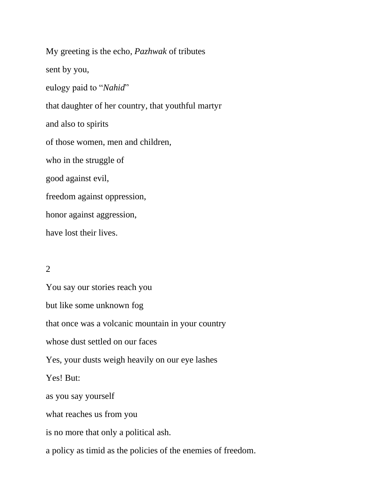My greeting is the echo, *Pazhwak* of tributes sent by you, eulogy paid to "*Nahid*" that daughter of her country, that youthful martyr and also to spirits of those women, men and children, who in the struggle of good against evil, freedom against oppression, honor against aggression, have lost their lives.

### 2

You say our stories reach you but like some unknown fog that once was a volcanic mountain in your country whose dust settled on our faces Yes, your dusts weigh heavily on our eye lashes Yes! But: as you say yourself what reaches us from you is no more that only a political ash. a policy as timid as the policies of the enemies of freedom.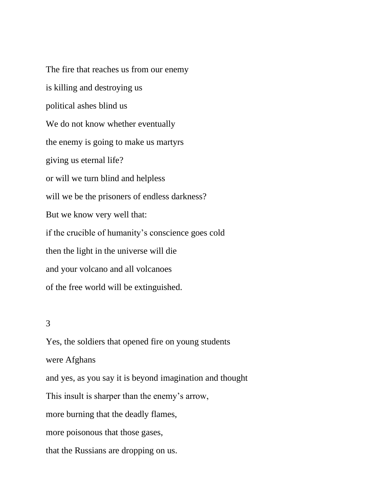The fire that reaches us from our enemy is killing and destroying us political ashes blind us We do not know whether eventually the enemy is going to make us martyrs giving us eternal life? or will we turn blind and helpless will we be the prisoners of endless darkness? But we know very well that: if the crucible of humanity's conscience goes cold then the light in the universe will die and your volcano and all volcanoes of the free world will be extinguished.

### 3

Yes, the soldiers that opened fire on young students were Afghans and yes, as you say it is beyond imagination and thought This insult is sharper than the enemy's arrow, more burning that the deadly flames, more poisonous that those gases, that the Russians are dropping on us.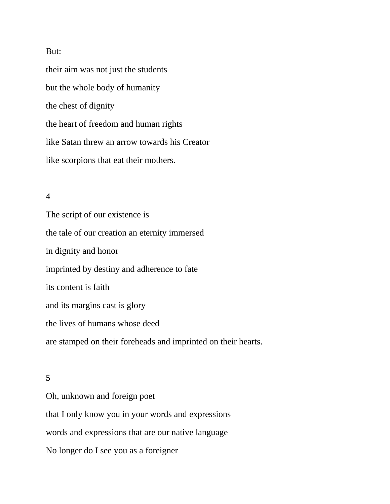#### But:

their aim was not just the students but the whole body of humanity the chest of dignity the heart of freedom and human rights like Satan threw an arrow towards his Creator like scorpions that eat their mothers.

### 4

The script of our existence is the tale of our creation an eternity immersed in dignity and honor imprinted by destiny and adherence to fate its content is faith and its margins cast is glory the lives of humans whose deed are stamped on their foreheads and imprinted on their hearts.

#### 5

Oh, unknown and foreign poet that I only know you in your words and expressions words and expressions that are our native language No longer do I see you as a foreigner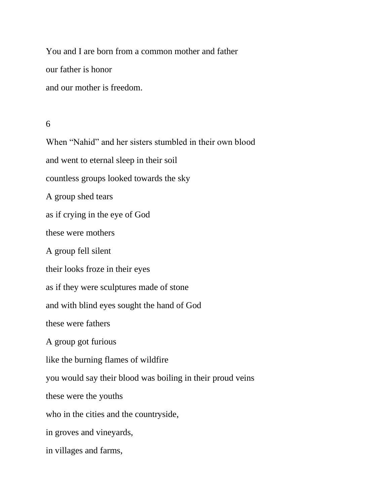You and I are born from a common mother and father our father is honor and our mother is freedom.

#### 6

When "Nahid" and her sisters stumbled in their own blood and went to eternal sleep in their soil countless groups looked towards the sky A group shed tears as if crying in the eye of God these were mothers A group fell silent their looks froze in their eyes as if they were sculptures made of stone and with blind eyes sought the hand of God these were fathers A group got furious like the burning flames of wildfire you would say their blood was boiling in their proud veins these were the youths who in the cities and the countryside, in groves and vineyards, in villages and farms,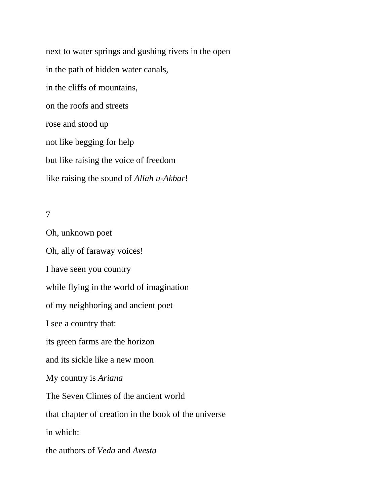next to water springs and gushing rivers in the open in the path of hidden water canals, in the cliffs of mountains, on the roofs and streets rose and stood up not like begging for help but like raising the voice of freedom like raising the sound of *Allah u-Akbar*!

## 7

Oh, unknown poet Oh, ally of faraway voices! I have seen you country while flying in the world of imagination of my neighboring and ancient poet I see a country that: its green farms are the horizon and its sickle like a new moon My country is *Ariana* The Seven Climes of the ancient world that chapter of creation in the book of the universe in which: the authors of *Veda* and *Avesta*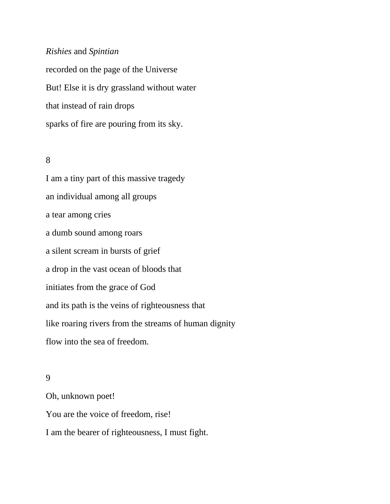### *Rishies* and *Spintian*

recorded on the page of the Universe But! Else it is dry grassland without water that instead of rain drops sparks of fire are pouring from its sky.

### 8

I am a tiny part of this massive tragedy an individual among all groups a tear among cries a dumb sound among roars a silent scream in bursts of grief a drop in the vast ocean of bloods that initiates from the grace of God and its path is the veins of righteousness that like roaring rivers from the streams of human dignity flow into the sea of freedom.

### 9

Oh, unknown poet! You are the voice of freedom, rise! I am the bearer of righteousness, I must fight.